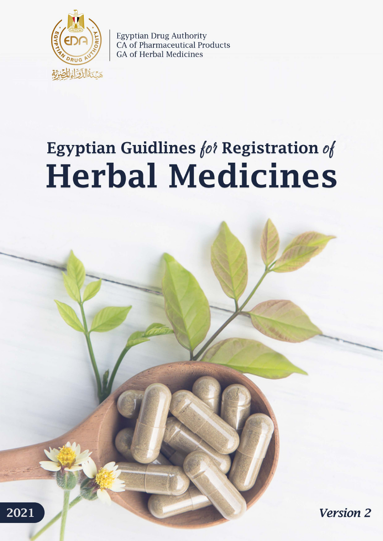

**Egyptian Drug Authority** CA of Pharmaceutical Products **GA of Herbal Medicines** 

# **Egyptian Guidlines for Registration of Herbal Medicines**



2021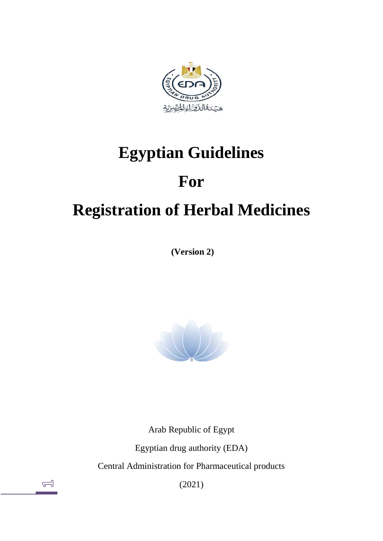<span id="page-1-0"></span>

# **Egyptian Guidelines**

# **For**

# **Registration of Herbal Medicines**

**(Version 2)**



Arab Republic of Egypt Egyptian drug authority (EDA) Central Administration for Pharmaceutical products

(2021)

 $\triangleq$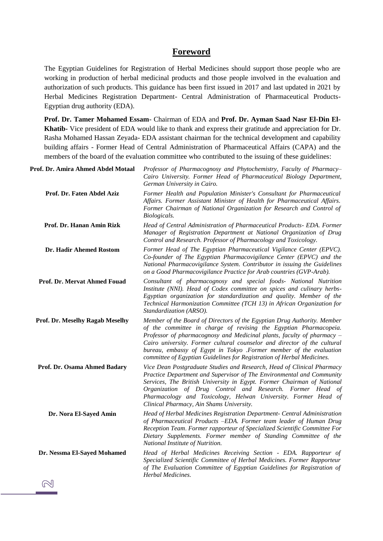# **Foreword**

The Egyptian Guidelines for Registration of Herbal Medicines should support those people who are working in production of herbal medicinal products and those people involved in the evaluation and authorization of such products. This guidance has been first issued in 2017 and last updated in 2021 by Herbal Medicines Registration Department- Central Administration of Pharmaceutical Products-Egyptian drug authority (EDA).

**Prof. Dr. Tamer Mohamed Essam**- Chairman of EDA and **Prof. Dr. Ayman Saad Nasr El-Din El-Khatib-** Vice president of EDA would like to thank and express their gratitude and appreciation for Dr. Rasha Mohamed Hassan Zeyada- EDA assistant chairman for the technical development and capability building affairs - Former Head of Central Administration of Pharmaceutical Affairs (CAPA) and the members of the board of the evaluation committee who contributed to the issuing of these guidelines:

| Prof. Dr. Amira Ahmed Abdel Motaal | Professor of Pharmacognosy and Phytochemistry, Faculty of Pharmacy-<br>Cairo University. Former Head of Pharmaceutical Biology Department,<br>German University in Cairo.                                                                                                                                                                                                                                                                            |
|------------------------------------|------------------------------------------------------------------------------------------------------------------------------------------------------------------------------------------------------------------------------------------------------------------------------------------------------------------------------------------------------------------------------------------------------------------------------------------------------|
| Prof. Dr. Faten Abdel Aziz         | Former Health and Population Minister's Consultant for Pharmaceutical<br>Affairs. Former Assistant Minister of Health for Pharmaceutical Affairs.<br>Former Chairman of National Organization for Research and Control of<br>Biologicals.                                                                                                                                                                                                            |
| Prof. Dr. Hanan Amin Rizk          | Head of Central Administration of Pharmaceutical Products- EDA. Former<br>Manager of Registration Department at National Organization of Drug<br>Control and Research. Professor of Pharmacology and Toxicology.                                                                                                                                                                                                                                     |
| Dr. Hadir Ahemed Rostom            | Former Head of The Egyptian Pharmaceutical Vigilance Center (EPVC).<br>Co-founder of The Egyptian Pharmacovigilance Center (EPVC) and the<br>National Pharmacovigilance System. Contributor in issuing the Guidelines<br>on a Good Pharmacovigilance Practice for Arab countries (GVP-Arab).                                                                                                                                                         |
| Prof. Dr. Mervat Ahmed Fouad       | Consultant of pharmacognosy and special foods- National Nutrition<br>Institute (NNI). Head of Codex committee on spices and culinary herbs-<br>Egyptian organization for standardization and quality. Member of the<br>Technical Harmonization Committee (TCH 13) in African Organization for<br>Standardization (ARSO).                                                                                                                             |
| Prof. Dr. Meselhy Ragab Meselhy    | Member of the Board of Directors of the Egyptian Drug Authority. Member<br>of the committee in charge of revising the Egyptian Pharmacopeia.<br>Professor of pharmacognosy and Medicinal plants, faculty of pharmacy $-$<br>Cairo university. Former cultural counselor and director of the cultural<br>bureau, embassy of Egypt in Tokyo .Former member of the evaluation<br>committee of Egyptian Guidelines for Registration of Herbal Medicines. |
| Prof. Dr. Osama Ahmed Badary       | Vice Dean Postgraduate Studies and Research, Head of Clinical Pharmacy<br>Practice Department and Supervisor of The Environmental and Community<br>Services, The British University in Egypt. Former Chairman of National<br>Organization of Drug Control and Research. Former Head of<br>Pharmacology and Toxicology, Helwan University. Former Head of<br>Clinical Pharmacy, Ain Shams University.                                                 |
| Dr. Nora El-Sayed Amin             | Head of Herbal Medicines Registration Department- Central Administration<br>of Pharmaceutical Products -EDA. Former team leader of Human Drug<br>Reception Team. Former rapporteur of Specialized Scientific Committee For<br>Dietary Supplements. Former member of Standing Committee of the<br>National Institute of Nutrition.                                                                                                                    |
| Dr. Nessma El-Sayed Mohamed        | Head of Herbal Medicines Receiving Section - EDA. Rapporteur of<br>Specialized Scientific Committee of Herbal Medicines. Former Rapporteur<br>of The Evaluation Committee of Egyptian Guidelines for Registration of<br>Herbal Medicines.                                                                                                                                                                                                            |
|                                    |                                                                                                                                                                                                                                                                                                                                                                                                                                                      |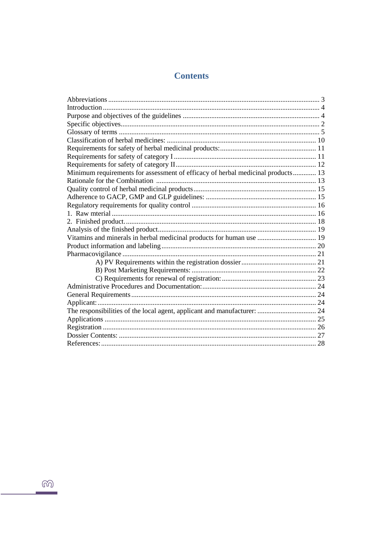# **Contents**

| Minimum requirements for assessment of efficacy of herbal medicinal products 13 |  |
|---------------------------------------------------------------------------------|--|
|                                                                                 |  |
|                                                                                 |  |
|                                                                                 |  |
|                                                                                 |  |
|                                                                                 |  |
|                                                                                 |  |
|                                                                                 |  |
| Vitamins and minerals in herbal medicinal products for human use  19            |  |
|                                                                                 |  |
|                                                                                 |  |
|                                                                                 |  |
|                                                                                 |  |
|                                                                                 |  |
|                                                                                 |  |
|                                                                                 |  |
|                                                                                 |  |
|                                                                                 |  |
|                                                                                 |  |
|                                                                                 |  |
|                                                                                 |  |
|                                                                                 |  |
|                                                                                 |  |

 $\widehat{\mathbb{G}}$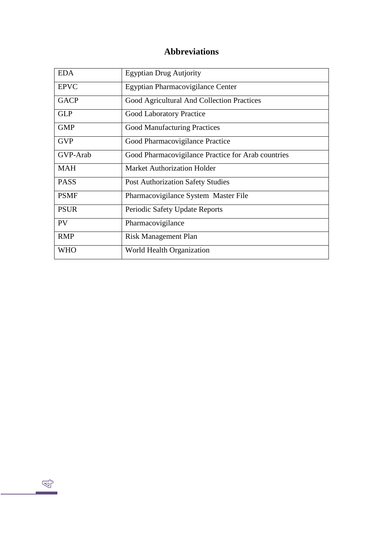# **Abbreviations**

| <b>EDA</b>  | <b>Egyptian Drug Autjority</b>                     |
|-------------|----------------------------------------------------|
| <b>EPVC</b> | Egyptian Pharmacovigilance Center                  |
| <b>GACP</b> | Good Agricultural And Collection Practices         |
| <b>GLP</b>  | <b>Good Laboratory Practice</b>                    |
| <b>GMP</b>  | <b>Good Manufacturing Practices</b>                |
| <b>GVP</b>  | Good Pharmacovigilance Practice                    |
| GVP-Arab    | Good Pharmacovigilance Practice for Arab countries |
| <b>MAH</b>  | <b>Market Authorization Holder</b>                 |
| <b>PASS</b> | <b>Post Authorization Safety Studies</b>           |
| <b>PSMF</b> | Pharmacovigilance System Master File               |
| <b>PSUR</b> | Periodic Safety Update Reports                     |
| PV          | Pharmacovigilance                                  |
| <b>RMP</b>  | <b>Risk Management Plan</b>                        |
| WHO         | World Health Organization                          |

 $\mathbb{Q}$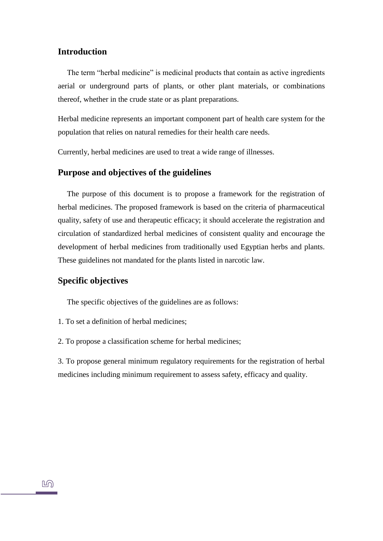# **Introduction**

The term "herbal medicine" is medicinal products that contain as active ingredients aerial or underground parts of plants, or other plant materials, or combinations thereof, whether in the crude state or as plant preparations.

Herbal medicine represents an important component part of health care system for the population that relies on natural remedies for their health care needs.

Currently, herbal medicines are used to treat a wide range of illnesses.

# <span id="page-5-0"></span>**Purpose and objectives of the guidelines**

The purpose of this document is to propose a framework for the registration of herbal medicines. The proposed framework is based on the criteria of pharmaceutical quality, safety of use and therapeutic efficacy; it should accelerate the registration and circulation of standardized herbal medicines of consistent quality and encourage the development of herbal medicines from traditionally used Egyptian herbs and plants. These guidelines not mandated for the plants listed in narcotic law.

# <span id="page-5-1"></span>**Specific objectives**

The specific objectives of the guidelines are as follows:

- 1. To set a definition of herbal medicines;
- 2. To propose a classification scheme for herbal medicines;

<span id="page-5-2"></span>3. To propose general minimum regulatory requirements for the registration of herbal medicines including minimum requirement to assess safety, efficacy and quality.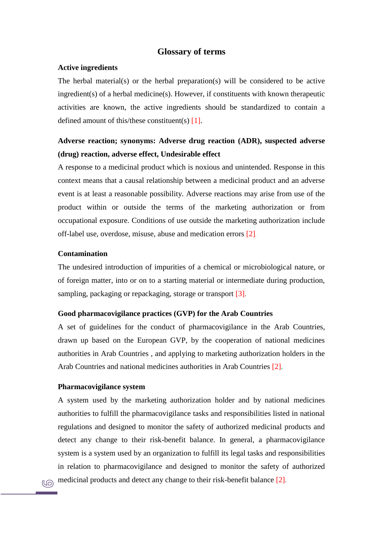### **Glossary of terms**

#### **Active ingredients**

The herbal material(s) or the herbal preparation(s) will be considered to be active ingredient(s) of a herbal medicine(s). However, if constituents with known therapeutic activities are known, the active ingredients should be standardized to contain a defined amount of this/these constituent(s)  $[1]$ .

# **Adverse reaction; synonyms: Adverse drug reaction (ADR), suspected adverse (drug) reaction, adverse effect, Undesirable effect**

A response to a medicinal product which is noxious and unintended. Response in this context means that a causal relationship between a medicinal product and an adverse event is at least a reasonable possibility. Adverse reactions may arise from use of the product within or outside the terms of the marketing authorization or from occupational exposure. Conditions of use outside the marketing authorization include off-label use, overdose, misuse, abuse and medication errors [2].

#### **Contamination**

The undesired introduction of impurities of a chemical or microbiological nature, or of foreign matter, into or on to a starting material or intermediate during production, sampling, packaging or repackaging, storage or transport [3].

# **Good pharmacovigilance practices (GVP) for the Arab Countries**

A set of guidelines for the conduct of pharmacovigilance in the Arab Countries, drawn up based on the European GVP, by the cooperation of national medicines authorities in Arab Countries , and applying to marketing authorization holders in the Arab Countries and national medicines authorities in Arab Countries [2]**.**

#### **Pharmacovigilance system**

A system used by the marketing authorization holder and by national medicines authorities to fulfill the pharmacovigilance tasks and responsibilities listed in national regulations and designed to monitor the safety of authorized medicinal products and detect any change to their risk-benefit balance. In general, a pharmacovigilance system is a system used by an organization to fulfill its legal tasks and responsibilities in relation to pharmacovigilance and designed to monitor the safety of authorized medicinal products and detect any change to their risk-benefit balance [2].

**NO**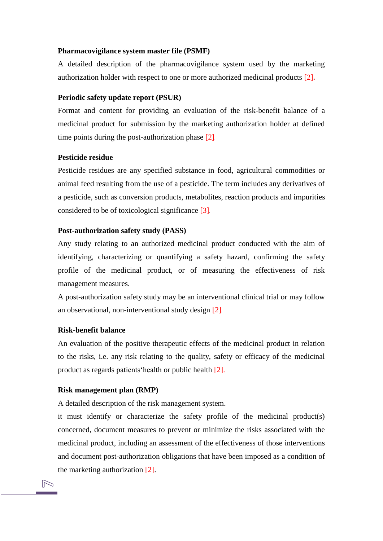#### **Pharmacovigilance system master file (PSMF)**

A detailed description of the pharmacovigilance system used by the marketing authorization holder with respect to one or more authorized medicinal products [2]**.**

#### **Periodic safety update report (PSUR)**

Format and content for providing an evaluation of the risk-benefit balance of a medicinal product for submission by the marketing authorization holder at defined time points during the post-authorization phase [2].

#### **Pesticide residue**

Pesticide residues are any specified substance in food, agricultural commodities or animal feed resulting from the use of a pesticide. The term includes any derivatives of a pesticide, such as conversion products, metabolites, reaction products and impurities considered to be of toxicological significance [3].

#### **Post-authorization safety study (PASS)**

Any study relating to an authorized medicinal product conducted with the aim of identifying, characterizing or quantifying a safety hazard, confirming the safety profile of the medicinal product, or of measuring the effectiveness of risk management measures.

A post-authorization safety study may be an interventional clinical trial or may follow an observational, non-interventional study design [2]**.**

#### **Risk-benefit balance**

 $\triangleright$ 

An evaluation of the positive therapeutic effects of the medicinal product in relation to the risks, i.e. any risk relating to the quality, safety or efficacy of the medicinal product as regards patients'health or public health [2].

#### **Risk management plan (RMP)**

A detailed description of the risk management system.

it must identify or characterize the safety profile of the medicinal product(s) concerned, document measures to prevent or minimize the risks associated with the medicinal product, including an assessment of the effectiveness of those interventions and document post-authorization obligations that have been imposed as a condition of the marketing authorization [2].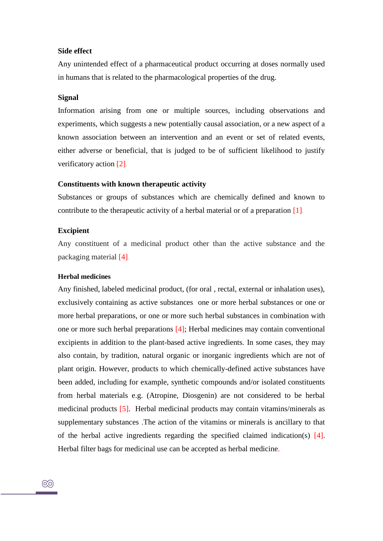#### **Side effect**

Any unintended effect of a pharmaceutical product occurring at doses normally used in humans that is related to the pharmacological properties of the drug.

#### **Signal**

Information arising from one or multiple sources, including observations and experiments, which suggests a new potentially causal association, or a new aspect of a known association between an intervention and an event or set of related events, either adverse or beneficial, that is judged to be of sufficient likelihood to justify verificatory action [2]**.**

#### **Constituents with known therapeutic activity**

Substances or groups of substances which are chemically defined and known to contribute to the therapeutic activity of a herbal material or of a preparation [1].

#### **Excipient**

Any constituent of a medicinal product other than the active substance and the packaging material [4].

#### **Herbal medicines**

Any finished, labeled medicinal product, (for oral , rectal, external or inhalation uses), exclusively containing as active substances one or more herbal substances or one or more herbal preparations, or one or more such herbal substances in combination with one or more such herbal preparations [4]; Herbal medicines may contain conventional excipients in addition to the plant-based active ingredients. In some cases, they may also contain, by tradition, natural organic or inorganic ingredients which are not of plant origin. However, products to which chemically-defined active substances have been added, including for example, synthetic compounds and/or isolated constituents from herbal materials e.g. (Atropine, Diosgenin) are not considered to be herbal medicinal products [5]. Herbal medicinal products may contain vitamins/minerals as supplementary substances .The action of the vitamins or minerals is ancillary to that of the herbal active ingredients regarding the specified claimed indication(s)  $[4]$ . Herbal filter bags for medicinal use can be accepted as herbal medicine.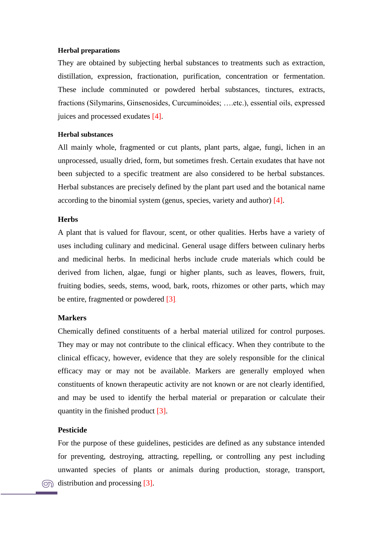#### **Herbal preparations**

They are obtained by subjecting herbal substances to treatments such as extraction, distillation, expression, fractionation, purification, concentration or fermentation. These include comminuted or powdered herbal substances, tinctures, extracts, fractions (Silymarins, Ginsenosides, Curcuminoides; ….etc.), essential oils, expressed juices and processed exudates [4].

### **Herbal substances**

All mainly whole, fragmented or cut plants, plant parts, algae, fungi, lichen in an unprocessed, usually dried, form, but sometimes fresh. Certain exudates that have not been subjected to a specific treatment are also considered to be herbal substances. Herbal substances are precisely defined by the plant part used and the botanical name according to the binomial system (genus, species, variety and author) [4].

#### **Herbs**

A plant that is valued for flavour, scent, or other qualities. Herbs have a variety of uses including culinary and medicinal. General usage differs between culinary herbs and medicinal herbs. In medicinal herbs include crude materials which could be derived from lichen, algae, fungi or higher plants, such as leaves, flowers, fruit, fruiting bodies, seeds, stems, wood, bark, roots, rhizomes or other parts, which may be entire, fragmented or powdered [3].

#### **Markers**

Chemically defined constituents of a herbal material utilized for control purposes. They may or may not contribute to the clinical efficacy. When they contribute to the clinical efficacy, however, evidence that they are solely responsible for the clinical efficacy may or may not be available. Markers are generally employed when constituents of known therapeutic activity are not known or are not clearly identified, and may be used to identify the herbal material or preparation or calculate their quantity in the finished product [3].

#### **Pesticide**

For the purpose of these guidelines, pesticides are defined as any substance intended for preventing, destroying, attracting, repelling, or controlling any pest including unwanted species of plants or animals during production, storage, transport,  $\circ$  distribution and processing [3].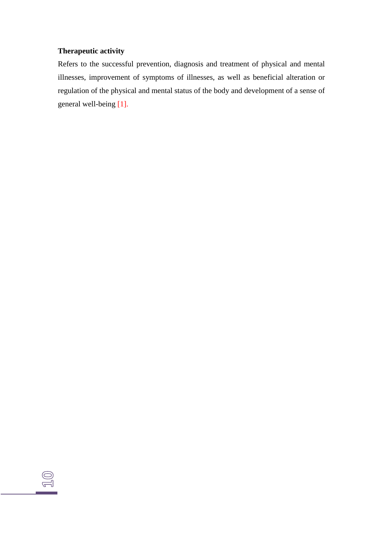# **Therapeutic activity**

 $\text{2D}$ 

Refers to the successful prevention, diagnosis and treatment of physical and mental illnesses, improvement of symptoms of illnesses, as well as beneficial alteration or regulation of the physical and mental status of the body and development of a sense of general well-being [1].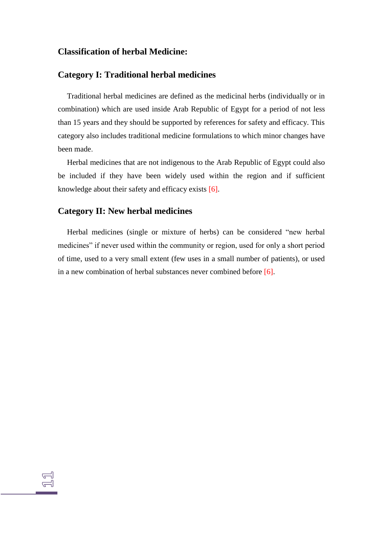# **Classification of herbal Medicine:**

# **Category I: Traditional herbal medicines**

Traditional herbal medicines are defined as the medicinal herbs (individually or in combination) which are used inside Arab Republic of Egypt for a period of not less than 15 years and they should be supported by references for safety and efficacy. This category also includes traditional medicine formulations to which minor changes have been made.

Herbal medicines that are not indigenous to the Arab Republic of Egypt could also be included if they have been widely used within the region and if sufficient knowledge about their safety and efficacy exists [6].

# **Category II: New herbal medicines**

Herbal medicines (single or mixture of herbs) can be considered "new herbal medicines" if never used within the community or region, used for only a short period of time, used to a very small extent (few uses in a small number of patients), or used in a new combination of herbal substances never combined before [6].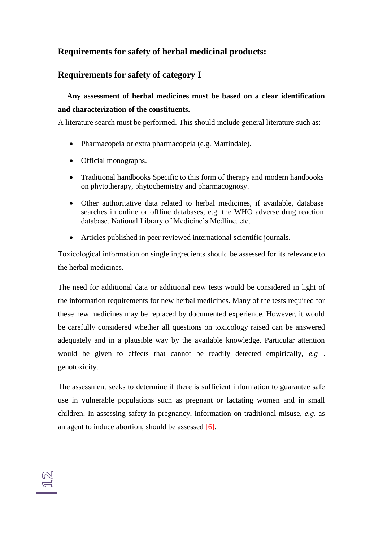# **Requirements for safety of herbal medicinal products:**

# **Requirements for safety of category I**

# **Any assessment of herbal medicines must be based on a clear identification and characterization of the constituents.**

A literature search must be performed. This should include general literature such as:

- Pharmacopeia or extra pharmacopeia (e.g. Martindale).
- Official monographs.
- Traditional handbooks Specific to this form of therapy and modern handbooks on phytotherapy, phytochemistry and pharmacognosy.
- Other authoritative data related to herbal medicines, if available, database searches in online or offline databases, e.g. the WHO adverse drug reaction database, National Library of Medicine's Medline, etc.
- Articles published in peer reviewed international scientific journals.

Toxicological information on single ingredients should be assessed for its relevance to the herbal medicines.

The need for additional data or additional new tests would be considered in light of the information requirements for new herbal medicines. Many of the tests required for these new medicines may be replaced by documented experience. However, it would be carefully considered whether all questions on toxicology raised can be answered adequately and in a plausible way by the available knowledge. Particular attention would be given to effects that cannot be readily detected empirically, *e.g* . genotoxicity.

The assessment seeks to determine if there is sufficient information to guarantee safe use in vulnerable populations such as pregnant or lactating women and in small children. In assessing safety in pregnancy, information on traditional misuse, *e.g*. as an agent to induce abortion, should be assessed [6].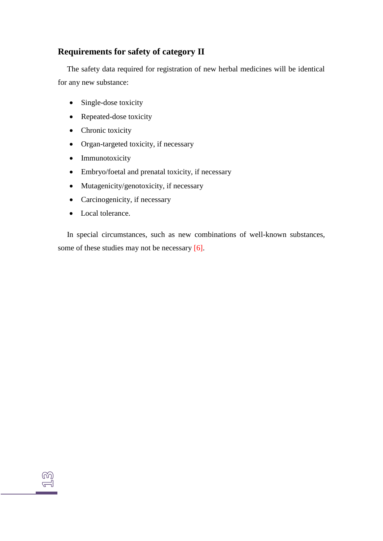# **Requirements for safety of category II**

The safety data required for registration of new herbal medicines will be identical for any new substance:

- Single-dose toxicity
- Repeated-dose toxicity
- Chronic toxicity
- Organ-targeted toxicity, if necessary
- Immunotoxicity
- Embryo/foetal and prenatal toxicity, if necessary
- Mutagenicity/genotoxicity, if necessary
- Carcinogenicity, if necessary
- Local tolerance.

௸  $\tilde{\exists}$ 

In special circumstances, such as new combinations of well-known substances, some of these studies may not be necessary [6].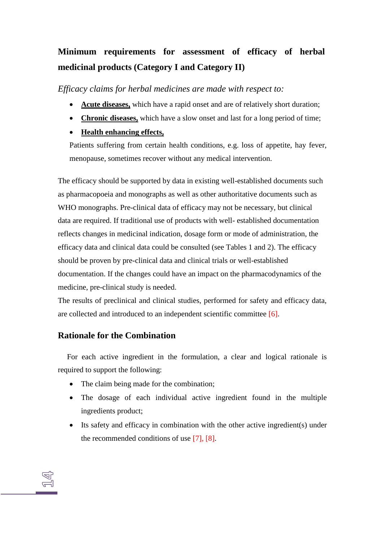# **Minimum requirements for assessment of efficacy of herbal medicinal products (Category I and Category II)**

*Efficacy claims for herbal medicines are made with respect to:*

- **Acute diseases,** which have a rapid onset and are of relatively short duration;
- **Chronic diseases,** which have a slow onset and last for a long period of time;
- **Health enhancing effects,**

Patients suffering from certain health conditions, e.g. loss of appetite, hay fever, menopause, sometimes recover without any medical intervention.

The efficacy should be supported by data in existing well-established documents such as pharmacopoeia and monographs as well as other authoritative documents such as WHO monographs. Pre-clinical data of efficacy may not be necessary, but clinical data are required. If traditional use of products with well- established documentation reflects changes in medicinal indication, dosage form or mode of administration, the efficacy data and clinical data could be consulted (see Tables 1 and 2). The efficacy should be proven by pre-clinical data and clinical trials or well-established documentation. If the changes could have an impact on the pharmacodynamics of the medicine, pre-clinical study is needed.

The results of preclinical and clinical studies, performed for safety and efficacy data, are collected and introduced to an independent scientific committee [6].

# **Rationale for the Combination**

For each active ingredient in the formulation, a clear and logical rationale is required to support the following:

- The claim being made for the combination;
- The dosage of each individual active ingredient found in the multiple ingredients product;
- Its safety and efficacy in combination with the other active ingredient(s) under the recommended conditions of use [7], [8].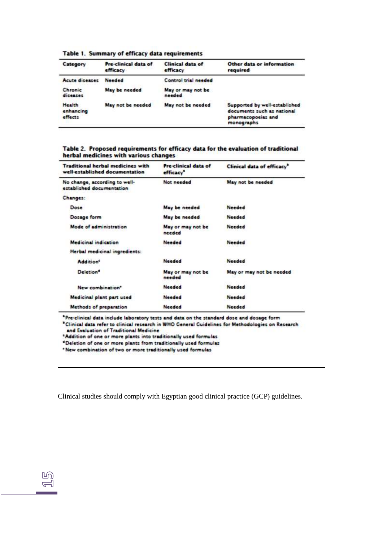| Category                       | Pre-clinical data of<br>efficacy | Clinical data of<br>efficacy | Other data or information<br>required                                                                  |
|--------------------------------|----------------------------------|------------------------------|--------------------------------------------------------------------------------------------------------|
| Acute diseases                 | <b>Needed</b>                    | Control trial needed         |                                                                                                        |
| Chronic<br>diseases            | May be needed                    | May or may not be<br>needed  |                                                                                                        |
| Health<br>enhancing<br>effects | May not be needed                | May not be needed            | Supported by well-established<br>documents such as national<br>pharmacopoeias and<br><b>monographs</b> |

Table 1. Summary of efficacy data requirements

#### Table 2. Proposed requirements for efficacy data for the evaluation of traditional herbal medicines with various changes

| <b>Traditional herbal medicines with</b><br>well-established documentation | <b>Pre-clinical data of</b><br>efficacy <sup>*</sup> | Clinical data of efficacy <sup>®</sup> |
|----------------------------------------------------------------------------|------------------------------------------------------|----------------------------------------|
| No change, according to well-<br>established documentation                 | Not needed                                           | May not be needed                      |
| Changes:                                                                   |                                                      |                                        |
| Dose                                                                       | May be needed                                        | <b>Needed</b>                          |
| Dosage form                                                                | May be needed                                        | Needed                                 |
| Mode of administration                                                     | May or may not be<br>needed                          | <b>Needed</b>                          |
| <b>Medicinal indication</b>                                                | <b>Needed</b>                                        | <b>Needed</b>                          |
| Herbal medicinal ingredients:                                              |                                                      |                                        |
| <b>Addition®</b>                                                           | <b>Needed</b>                                        | <b>Needed</b>                          |
| Deletion <sup>®</sup>                                                      | May or may not be<br>needed                          | May or may not be needed               |
| New combination"                                                           | <b>Needed</b>                                        | <b>Needed</b>                          |
| Medicinal plant part used                                                  | <b>Needed</b>                                        | <b>Needed</b>                          |
| Methods of preparation                                                     | <b>Needed</b>                                        | <b>Needed</b>                          |

\*Pre-clinical data include laboratory tests and data on the standard dose and dosage form \* Clinical data refer to clinical research in WHO General Guidelines for Methodologies on Research and Evaluation of Traditional Medicine

\*Addition of one or more plants into traditionally used formulas

\*Deletion of one or more plants from traditionally used formulas

\* New combination of two or more traditionally used formulas

 $\mathbb{E}$ 

Clinical studies should comply with Egyptian good clinical practice (GCP) guidelines.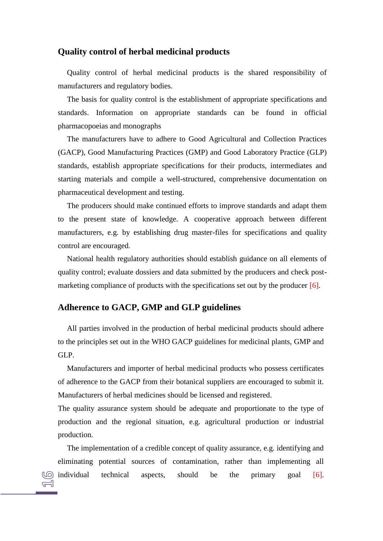# <span id="page-16-0"></span>**Quality control of herbal medicinal products**

Quality control of herbal medicinal products is the shared responsibility of manufacturers and regulatory bodies.

The basis for quality control is the establishment of appropriate specifications and standards. Information on appropriate standards can be found in official pharmacopoeias and monographs

The manufacturers have to adhere to Good Agricultural and Collection Practices (GACP), Good Manufacturing Practices (GMP) and Good Laboratory Practice (GLP) standards, establish appropriate specifications for their products, intermediates and starting materials and compile a well-structured, comprehensive documentation on pharmaceutical development and testing.

The producers should make continued efforts to improve standards and adapt them to the present state of knowledge. A cooperative approach between different manufacturers, e.g. by establishing drug master-files for specifications and quality control are encouraged.

National health regulatory authorities should establish guidance on all elements of quality control; evaluate dossiers and data submitted by the producers and check postmarketing compliance of products with the specifications set out by the producer [6].

# **Adherence to GACP, GMP and GLP guidelines**

All parties involved in the production of herbal medicinal products should adhere to the principles set out in the WHO GACP guidelines for medicinal plants, GMP and GLP.

Manufacturers and importer of herbal medicinal products who possess certificates of adherence to the GACP from their botanical suppliers are encouraged to submit it. Manufacturers of herbal medicines should be licensed and registered.

The quality assurance system should be adequate and proportionate to the type of production and the regional situation, e.g. agricultural production or industrial production.

The implementation of a credible concept of quality assurance, e.g. identifying and eliminating potential sources of contamination, rather than implementing all individual technical aspects, should be the primary goal [6].  $\equiv$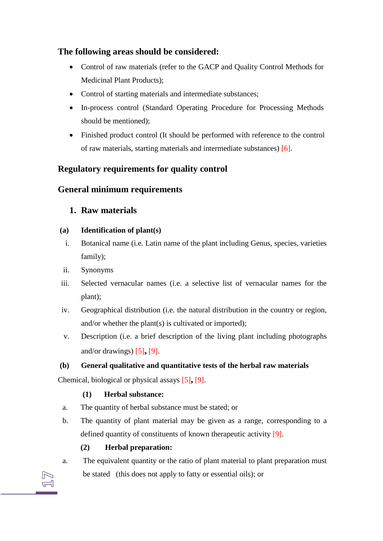# **The following areas should be considered:**

- Control of raw materials (refer to the GACP and Quality Control Methods for Medicinal Plant Products);
- Control of starting materials and intermediate substances;
- In-process control (Standard Operating Procedure for Processing Methods should be mentioned);
- Finished product control (It should be performed with reference to the control of raw materials, starting materials and intermediate substances) [6].

# **Regulatory requirements for quality control**

# **General minimum requirements**

# **1. Raw materials**

# **(a) Identification of plant(s)**

- i. Botanical name (i.e. Latin name of the plant including Genus, species, varieties family);
- ii. Synonyms
- iii. Selected vernacular names (i.e. a selective list of vernacular names for the plant);
- iv. Geographical distribution (i.e. the natural distribution in the country or region, and/or whether the plant(s) is cultivated or imported);
- v. Description (i.e. a brief description of the living plant including photographs and/or drawings) [5]**,** [9].

# **(b) General qualitative and quantitative tests of the herbal raw materials**

Chemical, biological or physical assays [5]**,** [9].

# **(1) Herbal substance:**

- a. The quantity of herbal substance must be stated; or
- b. The quantity of plant material may be given as a range, corresponding to a defined quantity of constituents of known therapeutic activity [9].

# **(2) Herbal preparation:**

a. The equivalent quantity or the ratio of plant material to plant preparation must be stated (this does not apply to fatty or essential oils); or

 $\equiv$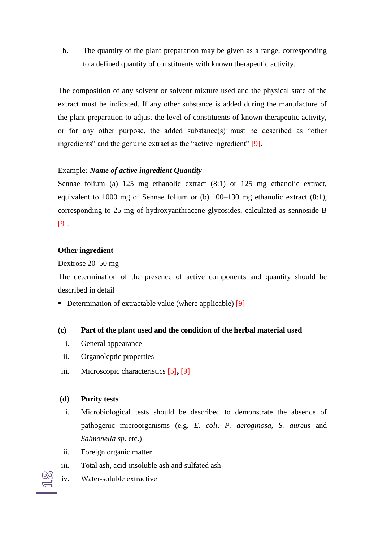b. The quantity of the plant preparation may be given as a range, corresponding to a defined quantity of constituents with known therapeutic activity.

The composition of any solvent or solvent mixture used and the physical state of the extract must be indicated. If any other substance is added during the manufacture of the plant preparation to adjust the level of constituents of known therapeutic activity, or for any other purpose, the added substance(s) must be described as "other ingredients" and the genuine extract as the "active ingredient" [9].

# Example*: Name of active ingredient Quantity*

Sennae folium (a) 125 mg ethanolic extract (8:1) or 125 mg ethanolic extract, equivalent to 1000 mg of Sennae folium or (b) 100–130 mg ethanolic extract (8:1), corresponding to 25 mg of hydroxyanthracene glycosides, calculated as sennoside B [9].

# **Other ingredient**

Dextrose 20–50 mg

The determination of the presence of active components and quantity should be described in detail

Determination of extractable value (where applicable)  $[9]$ 

# **(c) Part of the plant used and the condition of the herbal material used**

- i. General appearance
- ii. Organoleptic properties
- iii. Microscopic characteristics [5]**,** [9]

# **(d) Purity tests**

- i. Microbiological tests should be described to demonstrate the absence of pathogenic microorganisms (e.g. *E. coli*, *P. aeroginosa*, *S. aureus* and *Salmonella sp.* etc.)
- ii. Foreign organic matter
- iii. Total ash, acid-insoluble ash and sulfated ash
- iv. Water-soluble extractive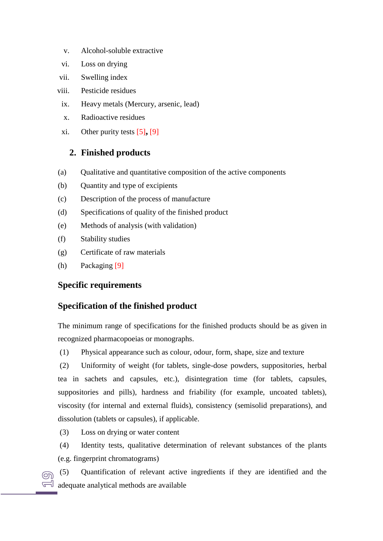- v. Alcohol-soluble extractive
- vi. Loss on drying
- vii. Swelling index
- viii. Pesticide residues
- ix. Heavy metals (Mercury, arsenic, lead)
- x. Radioactive residues
- xi. Other purity tests [5]**,** [9]

# **2. Finished products**

- (a) Qualitative and quantitative composition of the active components
- (b) Quantity and type of excipients
- (c) Description of the process of manufacture
- (d) Specifications of quality of the finished product
- (e) Methods of analysis (with validation)
- (f) Stability studies
- (g) Certificate of raw materials
- (h) Packaging [9]

# **Specific requirements**

# **Specification of the finished product**

The minimum range of specifications for the finished products should be as given in recognized pharmacopoeias or monographs.

(1) Physical appearance such as colour, odour, form, shape, size and texture

(2) Uniformity of weight (for tablets, single-dose powders, suppositories, herbal tea in sachets and capsules, etc.), disintegration time (for tablets, capsules, suppositories and pills), hardness and friability (for example, uncoated tablets), viscosity (for internal and external fluids), consistency (semisolid preparations), and dissolution (tablets or capsules), if applicable.

(3) Loss on drying or water content

(4) Identity tests, qualitative determination of relevant substances of the plants (e.g. fingerprint chromatograms)

(5) Quantification of relevant active ingredients if they are identified and the  $\circledcirc$  $\sqrt{d}$  adequate analytical methods are available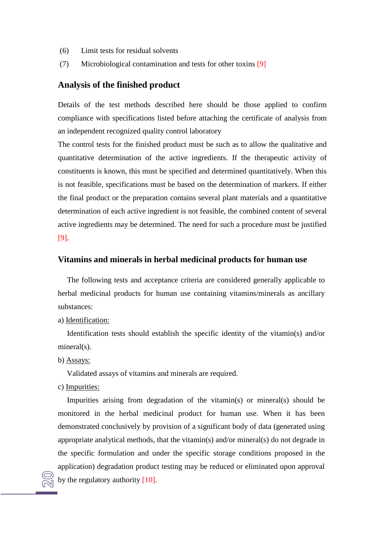- (6) Limit tests for residual solvents
- (7) Microbiological contamination and tests for other toxins [9]

# **Analysis of the finished product**

Details of the test methods described here should be those applied to confirm compliance with specifications listed before attaching the certificate of analysis from an independent recognized quality control laboratory

The control tests for the finished product must be such as to allow the qualitative and quantitative determination of the active ingredients. If the therapeutic activity of constituents is known, this must be specified and determined quantitatively. When this is not feasible, specifications must be based on the determination of markers. If either the final product or the preparation contains several plant materials and a quantitative determination of each active ingredient is not feasible, the combined content of several active ingredients may be determined. The need for such a procedure must be justified [9].

### <span id="page-20-0"></span>**Vitamins and minerals in herbal medicinal products for human use**

The following tests and acceptance criteria are considered generally applicable to herbal medicinal products for human use containing vitamins/minerals as ancillary substances:

a) Identification:

Identification tests should establish the specific identity of the vitamin(s) and/or mineral(s).

b) Assays:

Validated assays of vitamins and minerals are required.

c) Impurities:

Impurities arising from degradation of the vitamin(s) or mineral(s) should be monitored in the herbal medicinal product for human use. When it has been demonstrated conclusively by provision of a significant body of data (generated using appropriate analytical methods, that the vitamin(s) and/or mineral(s) do not degrade in the specific formulation and under the specific storage conditions proposed in the application) degradation product testing may be reduced or eliminated upon approval by the regulatory authority [10].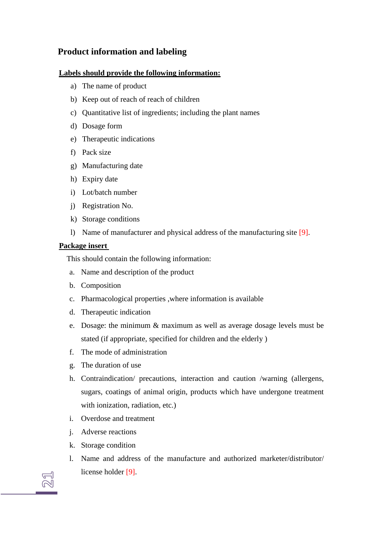# **Product information and labeling**

# **Labels should provide the following information:**

- a) The name of product
- b) Keep out of reach of reach of children
- c) Quantitative list of ingredients; including the plant names
- d) Dosage form
- e) Therapeutic indications
- f) Pack size
- g) Manufacturing date
- h) Expiry date
- i) Lot/batch number
- j) Registration No.
- k) Storage conditions
- l) Name of manufacturer and physical address of the manufacturing site [9].

# **Package insert**

This should contain the following information:

- a. Name and description of the product
- b. Composition
- c. Pharmacological properties ,where information is available
- d. Therapeutic indication
- e. Dosage: the minimum & maximum as well as average dosage levels must be stated (if appropriate, specified for children and the elderly )
- f. The mode of administration
- g. The duration of use
- h. Contraindication/ precautions, interaction and caution /warning (allergens, sugars, coatings of animal origin, products which have undergone treatment with ionization, radiation, etc.)
- i. Overdose and treatment
- j. Adverse reactions
- k. Storage condition
- l. Name and address of the manufacture and authorized marketer/distributor/ license holder [9].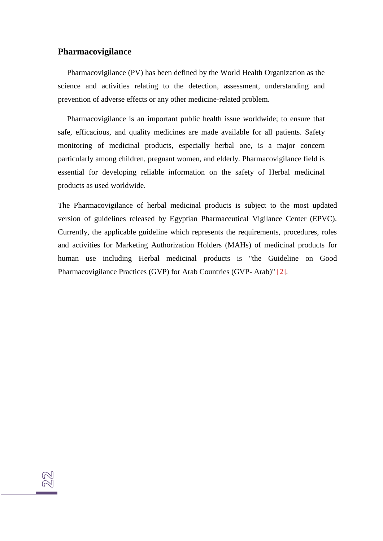# **Pharmacovigilance**

Pharmacovigilance (PV) has been defined by the World Health Organization as the science and activities relating to the detection, assessment, understanding and prevention of adverse effects or any other medicine-related problem.

Pharmacovigilance is an important public health issue worldwide; to ensure that safe, efficacious, and quality medicines are made available for all patients. Safety monitoring of medicinal products, especially herbal one, is a major concern particularly among children, pregnant women, and elderly. Pharmacovigilance field is essential for developing reliable information on the safety of Herbal medicinal products as used worldwide.

The Pharmacovigilance of herbal medicinal products is subject to the most updated version of guidelines released by Egyptian Pharmaceutical Vigilance Center (EPVC). Currently, the applicable guideline which represents the requirements, procedures, roles and activities for Marketing Authorization Holders (MAHs) of medicinal products for human use including Herbal medicinal products is "the Guideline on Good Pharmacovigilance Practices (GVP) for Arab Countries (GVP- Arab)" [2].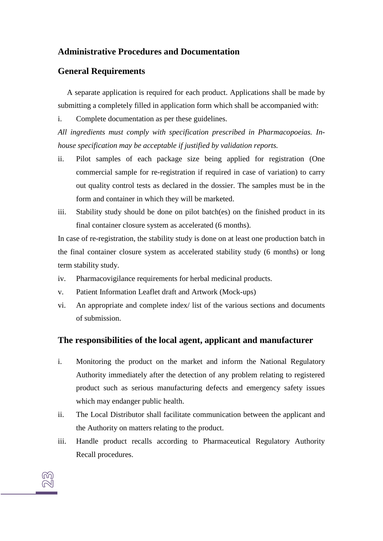# **Administrative Procedures and Documentation**

# <span id="page-23-0"></span>**General Requirements**

A separate application is required for each product. Applications shall be made by submitting a completely filled in application form which shall be accompanied with:

i. Complete documentation as per these guidelines.

*All ingredients must comply with specification prescribed in Pharmacopoeias. Inhouse specification may be acceptable if justified by validation reports.*

- ii. Pilot samples of each package size being applied for registration (One commercial sample for re-registration if required in case of variation) to carry out quality control tests as declared in the dossier. The samples must be in the form and container in which they will be marketed.
- iii. Stability study should be done on pilot batch(es) on the finished product in its final container closure system as accelerated (6 months).

In case of re-registration, the stability study is done on at least one production batch in the final container closure system as accelerated stability study (6 months) or long term stability study.

- iv. Pharmacovigilance requirements for herbal medicinal products.
- v. Patient Information Leaflet draft and Artwork (Mock-ups)
- vi. An appropriate and complete index/ list of the various sections and documents of submission.

# **The responsibilities of the local agent, applicant and manufacturer**

- i. Monitoring the product on the market and inform the National Regulatory Authority immediately after the detection of any problem relating to registered product such as serious manufacturing defects and emergency safety issues which may endanger public health.
- ii. The Local Distributor shall facilitate communication between the applicant and the Authority on matters relating to the product.
- iii. Handle product recalls according to Pharmaceutical Regulatory Authority Recall procedures.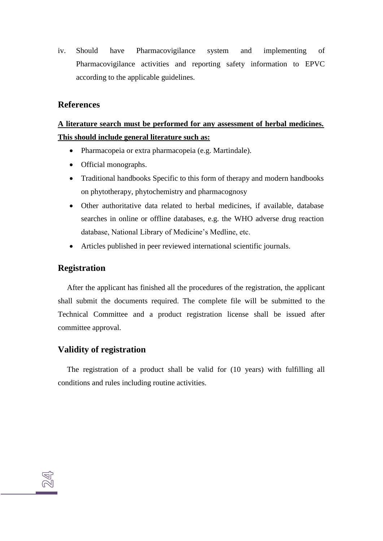iv. Should have Pharmacovigilance system and implementing of Pharmacovigilance activities and reporting safety information to EPVC according to the applicable guidelines.

# **References**

# **A literature search must be performed for any assessment of herbal medicines. This should include general literature such as:**

- Pharmacopeia or extra pharmacopeia (e.g. Martindale).
- Official monographs.
- Traditional handbooks Specific to this form of therapy and modern handbooks on phytotherapy, phytochemistry and pharmacognosy
- Other authoritative data related to herbal medicines, if available, database searches in online or offline databases, e.g. the WHO adverse drug reaction database, National Library of Medicine's Medline, etc.
- Articles published in peer reviewed international scientific journals.

# **Registration**

After the applicant has finished all the procedures of the registration, the applicant shall submit the documents required. The complete file will be submitted to the Technical Committee and a product registration license shall be issued after committee approval.

# **Validity of registration**

The registration of a product shall be valid for (10 years) with fulfilling all conditions and rules including routine activities.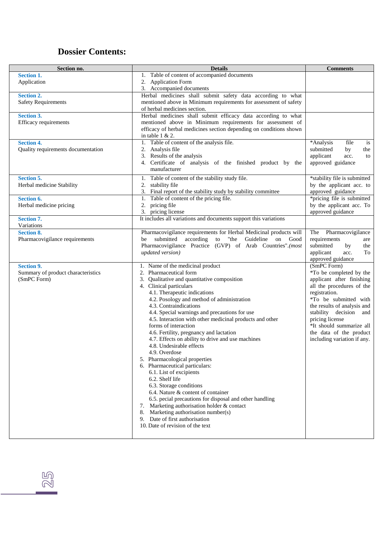# **Dossier Contents:**

| Section no.                        | <b>Details</b>                                                                                                                  | <b>Comments</b>                                      |
|------------------------------------|---------------------------------------------------------------------------------------------------------------------------------|------------------------------------------------------|
| <b>Section 1.</b>                  | Table of content of accompanied documents<br>1.                                                                                 |                                                      |
| Application                        | 2. Application Form                                                                                                             |                                                      |
|                                    | 3. Accompanied documents                                                                                                        |                                                      |
| <b>Section 2.</b>                  | Herbal medicines shall submit safety data according to what<br>mentioned above in Minimum requirements for assessment of safety |                                                      |
| <b>Safety Requirements</b>         | of herbal medicines section.                                                                                                    |                                                      |
| <b>Section 3.</b>                  | Herbal medicines shall submit efficacy data according to what                                                                   |                                                      |
| Efficacy requirements              | mentioned above in Minimum requirements for assessment of                                                                       |                                                      |
|                                    | efficacy of herbal medicines section depending on conditions shown                                                              |                                                      |
|                                    | in table $1 & 2$ .                                                                                                              |                                                      |
| <b>Section 4.</b>                  | Table of content of the analysis file.<br>1.                                                                                    | *Analysis<br>file<br>is                              |
| Quality requirements documentation | Analysis file<br>2.                                                                                                             | submitted<br>by<br>the                               |
|                                    | 3. Results of the analysis                                                                                                      | applicant<br>acc.<br>to                              |
|                                    | 4. Certificate of analysis of the finished product by the<br>manufacturer                                                       | approved guidance                                    |
|                                    |                                                                                                                                 |                                                      |
| <b>Section 5.</b>                  | Table of content of the stability study file.<br>1.                                                                             | *stability file is submitted                         |
| Herbal medicine Stability          | stability file<br>2.<br>Final report of the stability study by stability committee<br>3.                                        | by the applicant acc. to<br>approved guidance        |
| Section 6.                         | Table of content of the pricing file.<br>1.                                                                                     | *pricing file is submitted                           |
| Herbal medicine pricing            | pricing file<br>2.                                                                                                              | by the applicant acc. To                             |
|                                    | 3. pricing license                                                                                                              | approved guidance                                    |
| <b>Section 7.</b>                  | It includes all variations and documents support this variations                                                                |                                                      |
| Variations                         |                                                                                                                                 |                                                      |
| <b>Section 8.</b>                  | Pharmacovigilance requirements for Herbal Medicinal products will                                                               | The Pharmacovigilance                                |
| Pharmacovigilance requirements     | "the<br>according to<br>Guideline on<br>submitted<br>Good<br>be                                                                 | requirements<br>are                                  |
|                                    | Pharmacovigilance Practice (GVP) of Arab Countries".(most<br>updated version)                                                   | submitted<br>by<br>the<br>applicant<br>To<br>acc.    |
|                                    |                                                                                                                                 | approved guidance                                    |
| <b>Section 9.</b>                  | 1. Name of the medicinal product                                                                                                | (SmPC Form)                                          |
| Summary of product characteristics | Pharmaceutical form<br>2.                                                                                                       | *To be completed by the                              |
| (SmPC Form)                        | Qualitative and quantitative composition<br>3.                                                                                  | applicant after finishing                            |
|                                    | 4. Clinical particulars                                                                                                         | all the procedures of the                            |
|                                    | 4.1. Therapeutic indications                                                                                                    | registration.                                        |
|                                    | 4.2. Posology and method of administration<br>4.3. Contraindications                                                            | *To be submitted with<br>the results of analysis and |
|                                    | 4.4. Special warnings and precautions for use                                                                                   | stability decision and                               |
|                                    | 4.5. Interaction with other medicinal products and other                                                                        | pricing license                                      |
|                                    | forms of interaction                                                                                                            | *It should summarize all                             |
|                                    | 4.6. Fertility, pregnancy and lactation                                                                                         | the data of the product                              |
|                                    | 4.7. Effects on ability to drive and use machines                                                                               | including variation if any.                          |
|                                    | 4.8. Undesirable effects                                                                                                        |                                                      |
|                                    | 4.9. Overdose                                                                                                                   |                                                      |
|                                    | 5. Pharmacological properties                                                                                                   |                                                      |
|                                    | 6. Pharmaceutical particulars:<br>6.1. List of excipients                                                                       |                                                      |
|                                    | 6.2. Shelf life                                                                                                                 |                                                      |
|                                    | 6.3. Storage conditions                                                                                                         |                                                      |
|                                    | 6.4. Nature & content of container                                                                                              |                                                      |
|                                    | 6.5. pecial precautions for disposal and other handling                                                                         |                                                      |
|                                    | Marketing authorisation holder & contact<br>7.                                                                                  |                                                      |
|                                    | Marketing authorisation number(s)<br>8.                                                                                         |                                                      |
|                                    | Date of first authorisation<br>9.<br>10. Date of revision of the text                                                           |                                                      |
|                                    |                                                                                                                                 |                                                      |
|                                    |                                                                                                                                 |                                                      |